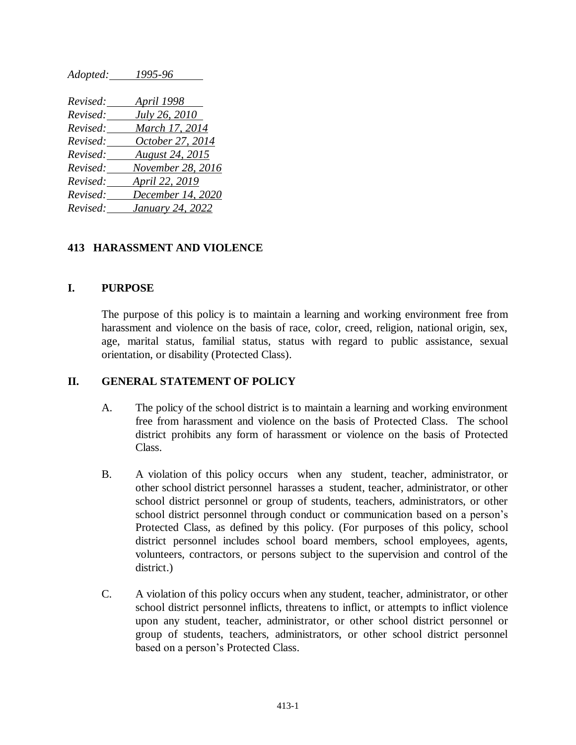| наоргеа: | 1999-90                |
|----------|------------------------|
|          |                        |
| Revised: | <b>April 1998</b>      |
| Revised: | <i>July 26, 2010</i>   |
| Revised: | March 17, 2014         |
| Revised: | October 27, 2014       |
| Revised: | <b>August 24, 2015</b> |
| Revised: | November 28, 2016      |
| Revised: | April 22, 2019         |
| Revised: | December 14, 2020      |
| Revised: | January 24, 2022       |

*Adopted: 1995-96*

### **413 HARASSMENT AND VIOLENCE**

#### **I. PURPOSE**

The purpose of this policy is to maintain a learning and working environment free from harassment and violence on the basis of race, color, creed, religion, national origin, sex, age, marital status, familial status, status with regard to public assistance, sexual orientation, or disability (Protected Class).

### **II. GENERAL STATEMENT OF POLICY**

- A. The policy of the school district is to maintain a learning and working environment free from harassment and violence on the basis of Protected Class. The school district prohibits any form of harassment or violence on the basis of Protected Class.
- B. A violation of this policy occurs when any student, teacher, administrator, or other school district personnel harasses a student, teacher, administrator, or other school district personnel or group of students, teachers, administrators, or other school district personnel through conduct or communication based on a person's Protected Class, as defined by this policy. (For purposes of this policy, school district personnel includes school board members, school employees, agents, volunteers, contractors, or persons subject to the supervision and control of the district.)
- C. A violation of this policy occurs when any student, teacher, administrator, or other school district personnel inflicts, threatens to inflict, or attempts to inflict violence upon any student, teacher, administrator, or other school district personnel or group of students, teachers, administrators, or other school district personnel based on a person's Protected Class.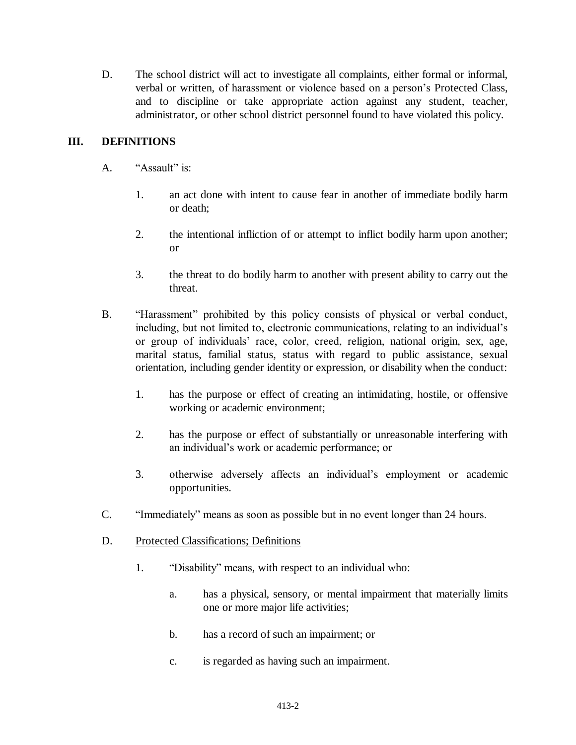D. The school district will act to investigate all complaints, either formal or informal, verbal or written, of harassment or violence based on a person's Protected Class, and to discipline or take appropriate action against any student, teacher, administrator, or other school district personnel found to have violated this policy.

# **III. DEFINITIONS**

- A. "Assault" is:
	- 1. an act done with intent to cause fear in another of immediate bodily harm or death;
	- 2. the intentional infliction of or attempt to inflict bodily harm upon another; or
	- 3. the threat to do bodily harm to another with present ability to carry out the threat.
- B. "Harassment" prohibited by this policy consists of physical or verbal conduct, including, but not limited to, electronic communications, relating to an individual's or group of individuals' race, color, creed, religion, national origin, sex, age, marital status, familial status, status with regard to public assistance, sexual orientation, including gender identity or expression, or disability when the conduct:
	- 1. has the purpose or effect of creating an intimidating, hostile, or offensive working or academic environment;
	- 2. has the purpose or effect of substantially or unreasonable interfering with an individual's work or academic performance; or
	- 3. otherwise adversely affects an individual's employment or academic opportunities.
- C. "Immediately" means as soon as possible but in no event longer than 24 hours.
- D. Protected Classifications; Definitions
	- 1. "Disability" means, with respect to an individual who:
		- a. has a physical, sensory, or mental impairment that materially limits one or more major life activities;
		- b. has a record of such an impairment; or
		- c. is regarded as having such an impairment.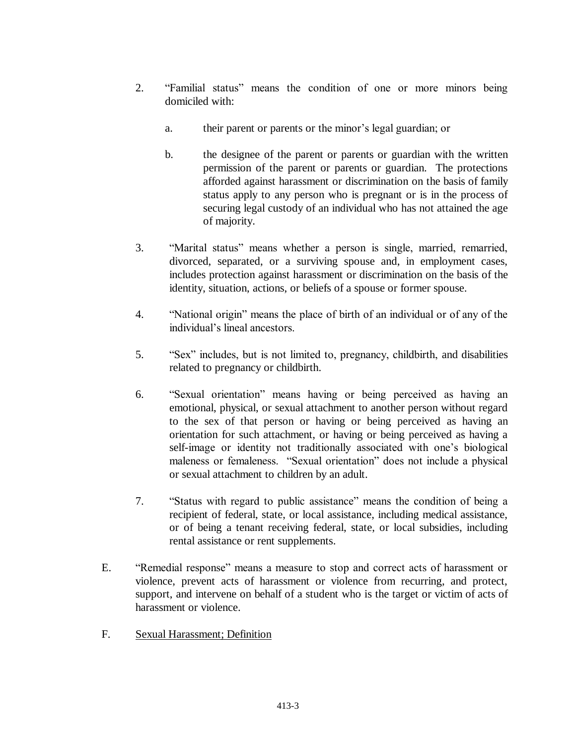- 2. "Familial status" means the condition of one or more minors being domiciled with:
	- a. their parent or parents or the minor's legal guardian; or
	- b. the designee of the parent or parents or guardian with the written permission of the parent or parents or guardian. The protections afforded against harassment or discrimination on the basis of family status apply to any person who is pregnant or is in the process of securing legal custody of an individual who has not attained the age of majority.
- 3. "Marital status" means whether a person is single, married, remarried, divorced, separated, or a surviving spouse and, in employment cases, includes protection against harassment or discrimination on the basis of the identity, situation, actions, or beliefs of a spouse or former spouse.
- 4. "National origin" means the place of birth of an individual or of any of the individual's lineal ancestors.
- 5. "Sex" includes, but is not limited to, pregnancy, childbirth, and disabilities related to pregnancy or childbirth.
- 6. "Sexual orientation" means having or being perceived as having an emotional, physical, or sexual attachment to another person without regard to the sex of that person or having or being perceived as having an orientation for such attachment, or having or being perceived as having a self-image or identity not traditionally associated with one's biological maleness or femaleness. "Sexual orientation" does not include a physical or sexual attachment to children by an adult.
- 7. "Status with regard to public assistance" means the condition of being a recipient of federal, state, or local assistance, including medical assistance, or of being a tenant receiving federal, state, or local subsidies, including rental assistance or rent supplements.
- E. "Remedial response" means a measure to stop and correct acts of harassment or violence, prevent acts of harassment or violence from recurring, and protect, support, and intervene on behalf of a student who is the target or victim of acts of harassment or violence.
- F. Sexual Harassment; Definition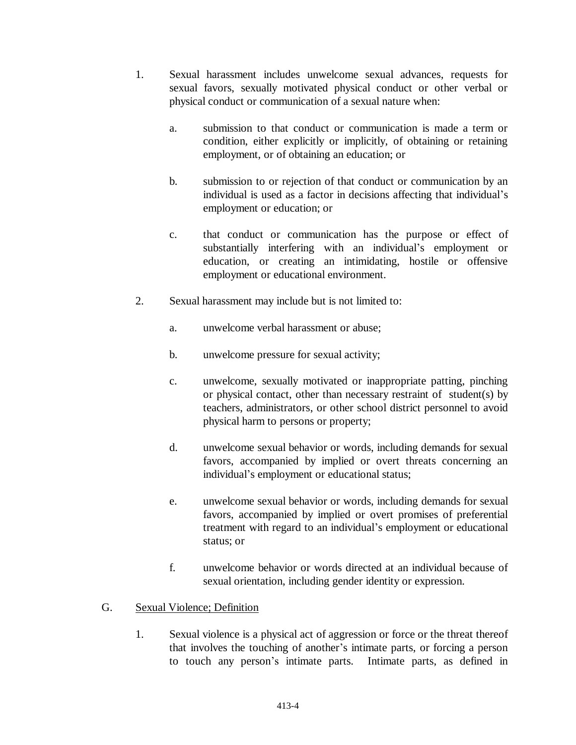- 1. Sexual harassment includes unwelcome sexual advances, requests for sexual favors, sexually motivated physical conduct or other verbal or physical conduct or communication of a sexual nature when:
	- a. submission to that conduct or communication is made a term or condition, either explicitly or implicitly, of obtaining or retaining employment, or of obtaining an education; or
	- b. submission to or rejection of that conduct or communication by an individual is used as a factor in decisions affecting that individual's employment or education; or
	- c. that conduct or communication has the purpose or effect of substantially interfering with an individual's employment or education, or creating an intimidating, hostile or offensive employment or educational environment.
- 2. Sexual harassment may include but is not limited to:
	- a. unwelcome verbal harassment or abuse;
	- b. unwelcome pressure for sexual activity;
	- c. unwelcome, sexually motivated or inappropriate patting, pinching or physical contact, other than necessary restraint of student(s) by teachers, administrators, or other school district personnel to avoid physical harm to persons or property;
	- d. unwelcome sexual behavior or words, including demands for sexual favors, accompanied by implied or overt threats concerning an individual's employment or educational status;
	- e. unwelcome sexual behavior or words, including demands for sexual favors, accompanied by implied or overt promises of preferential treatment with regard to an individual's employment or educational status; or
	- f. unwelcome behavior or words directed at an individual because of sexual orientation, including gender identity or expression.

### G. Sexual Violence; Definition

1. Sexual violence is a physical act of aggression or force or the threat thereof that involves the touching of another's intimate parts, or forcing a person to touch any person's intimate parts. Intimate parts, as defined in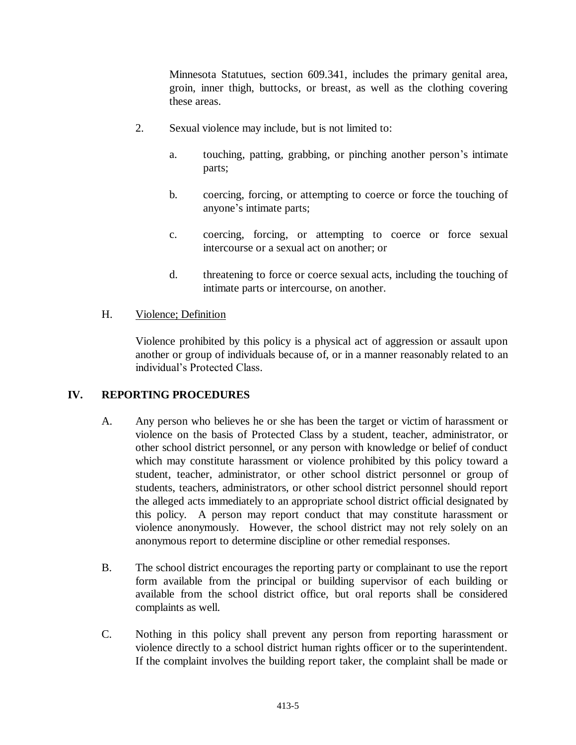Minnesota Statutues, section 609.341, includes the primary genital area, groin, inner thigh, buttocks, or breast, as well as the clothing covering these areas.

- 2. Sexual violence may include, but is not limited to:
	- a. touching, patting, grabbing, or pinching another person's intimate parts;
	- b. coercing, forcing, or attempting to coerce or force the touching of anyone's intimate parts;
	- c. coercing, forcing, or attempting to coerce or force sexual intercourse or a sexual act on another; or
	- d. threatening to force or coerce sexual acts, including the touching of intimate parts or intercourse, on another.

### H. Violence; Definition

Violence prohibited by this policy is a physical act of aggression or assault upon another or group of individuals because of, or in a manner reasonably related to an individual's Protected Class.

### **IV. REPORTING PROCEDURES**

- A. Any person who believes he or she has been the target or victim of harassment or violence on the basis of Protected Class by a student, teacher, administrator, or other school district personnel, or any person with knowledge or belief of conduct which may constitute harassment or violence prohibited by this policy toward a student, teacher, administrator, or other school district personnel or group of students, teachers, administrators, or other school district personnel should report the alleged acts immediately to an appropriate school district official designated by this policy. A person may report conduct that may constitute harassment or violence anonymously. However, the school district may not rely solely on an anonymous report to determine discipline or other remedial responses.
- B. The school district encourages the reporting party or complainant to use the report form available from the principal or building supervisor of each building or available from the school district office, but oral reports shall be considered complaints as well.
- C. Nothing in this policy shall prevent any person from reporting harassment or violence directly to a school district human rights officer or to the superintendent. If the complaint involves the building report taker, the complaint shall be made or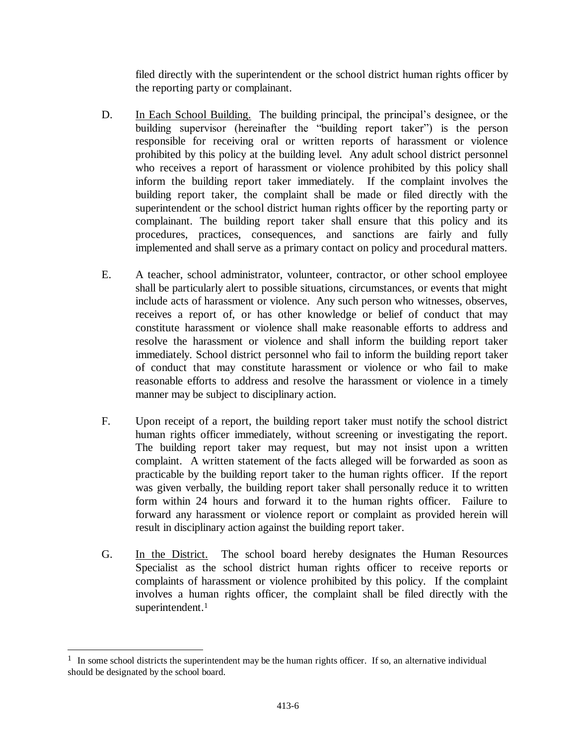filed directly with the superintendent or the school district human rights officer by the reporting party or complainant.

- D. In Each School Building. The building principal, the principal's designee, or the building supervisor (hereinafter the "building report taker") is the person responsible for receiving oral or written reports of harassment or violence prohibited by this policy at the building level. Any adult school district personnel who receives a report of harassment or violence prohibited by this policy shall inform the building report taker immediately. If the complaint involves the building report taker, the complaint shall be made or filed directly with the superintendent or the school district human rights officer by the reporting party or complainant. The building report taker shall ensure that this policy and its procedures, practices, consequences, and sanctions are fairly and fully implemented and shall serve as a primary contact on policy and procedural matters.
- E. A teacher, school administrator, volunteer, contractor, or other school employee shall be particularly alert to possible situations, circumstances, or events that might include acts of harassment or violence. Any such person who witnesses, observes, receives a report of, or has other knowledge or belief of conduct that may constitute harassment or violence shall make reasonable efforts to address and resolve the harassment or violence and shall inform the building report taker immediately. School district personnel who fail to inform the building report taker of conduct that may constitute harassment or violence or who fail to make reasonable efforts to address and resolve the harassment or violence in a timely manner may be subject to disciplinary action.
- F. Upon receipt of a report, the building report taker must notify the school district human rights officer immediately, without screening or investigating the report. The building report taker may request, but may not insist upon a written complaint. A written statement of the facts alleged will be forwarded as soon as practicable by the building report taker to the human rights officer. If the report was given verbally, the building report taker shall personally reduce it to written form within 24 hours and forward it to the human rights officer. Failure to forward any harassment or violence report or complaint as provided herein will result in disciplinary action against the building report taker.
- G. In the District. The school board hereby designates the Human Resources Specialist as the school district human rights officer to receive reports or complaints of harassment or violence prohibited by this policy. If the complaint involves a human rights officer, the complaint shall be filed directly with the superintendent.<sup>1</sup>

<sup>&</sup>lt;sup>1</sup> In some school districts the superintendent may be the human rights officer. If so, an alternative individual should be designated by the school board.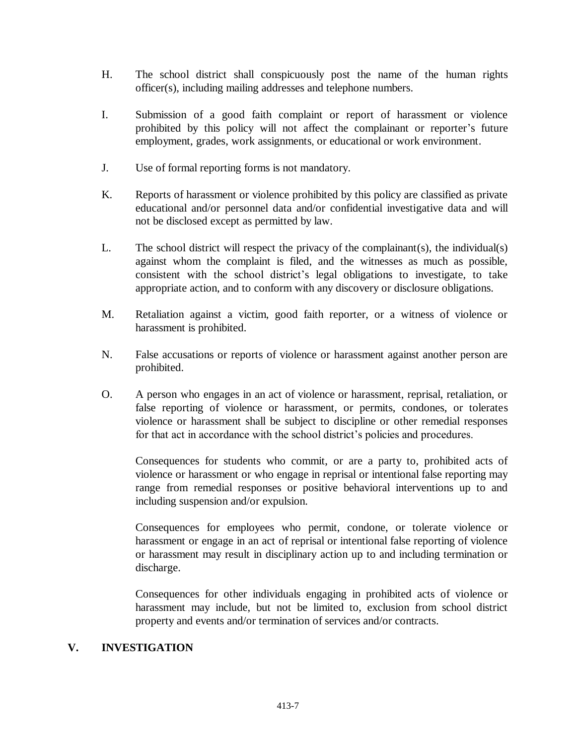- H. The school district shall conspicuously post the name of the human rights officer(s), including mailing addresses and telephone numbers.
- I. Submission of a good faith complaint or report of harassment or violence prohibited by this policy will not affect the complainant or reporter's future employment, grades, work assignments, or educational or work environment.
- J. Use of formal reporting forms is not mandatory.
- K. Reports of harassment or violence prohibited by this policy are classified as private educational and/or personnel data and/or confidential investigative data and will not be disclosed except as permitted by law.
- L. The school district will respect the privacy of the complainant(s), the individual(s) against whom the complaint is filed, and the witnesses as much as possible, consistent with the school district's legal obligations to investigate, to take appropriate action, and to conform with any discovery or disclosure obligations.
- M. Retaliation against a victim, good faith reporter, or a witness of violence or harassment is prohibited.
- N. False accusations or reports of violence or harassment against another person are prohibited.
- O. A person who engages in an act of violence or harassment, reprisal, retaliation, or false reporting of violence or harassment, or permits, condones, or tolerates violence or harassment shall be subject to discipline or other remedial responses for that act in accordance with the school district's policies and procedures.

Consequences for students who commit, or are a party to, prohibited acts of violence or harassment or who engage in reprisal or intentional false reporting may range from remedial responses or positive behavioral interventions up to and including suspension and/or expulsion.

Consequences for employees who permit, condone, or tolerate violence or harassment or engage in an act of reprisal or intentional false reporting of violence or harassment may result in disciplinary action up to and including termination or discharge.

Consequences for other individuals engaging in prohibited acts of violence or harassment may include, but not be limited to, exclusion from school district property and events and/or termination of services and/or contracts.

### **V. INVESTIGATION**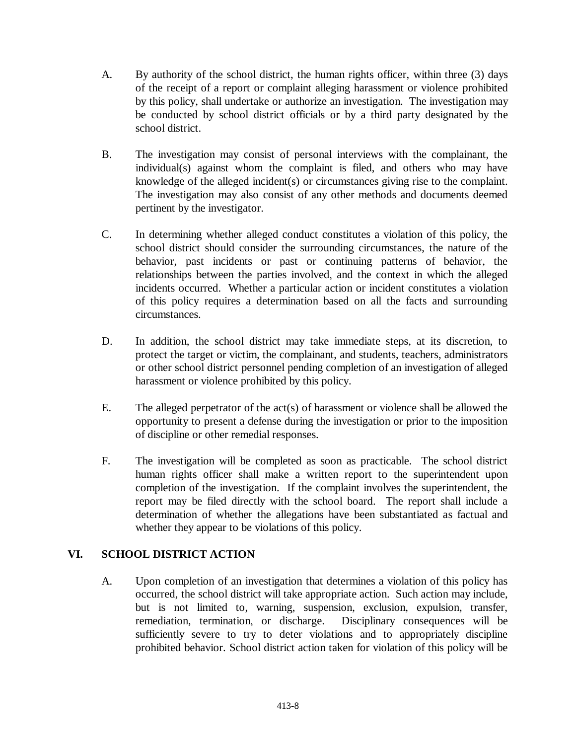- A. By authority of the school district, the human rights officer, within three (3) days of the receipt of a report or complaint alleging harassment or violence prohibited by this policy, shall undertake or authorize an investigation. The investigation may be conducted by school district officials or by a third party designated by the school district.
- B. The investigation may consist of personal interviews with the complainant, the individual(s) against whom the complaint is filed, and others who may have knowledge of the alleged incident(s) or circumstances giving rise to the complaint. The investigation may also consist of any other methods and documents deemed pertinent by the investigator.
- C. In determining whether alleged conduct constitutes a violation of this policy, the school district should consider the surrounding circumstances, the nature of the behavior, past incidents or past or continuing patterns of behavior, the relationships between the parties involved, and the context in which the alleged incidents occurred. Whether a particular action or incident constitutes a violation of this policy requires a determination based on all the facts and surrounding circumstances.
- D. In addition, the school district may take immediate steps, at its discretion, to protect the target or victim, the complainant, and students, teachers, administrators or other school district personnel pending completion of an investigation of alleged harassment or violence prohibited by this policy.
- E. The alleged perpetrator of the act(s) of harassment or violence shall be allowed the opportunity to present a defense during the investigation or prior to the imposition of discipline or other remedial responses.
- F. The investigation will be completed as soon as practicable. The school district human rights officer shall make a written report to the superintendent upon completion of the investigation. If the complaint involves the superintendent, the report may be filed directly with the school board. The report shall include a determination of whether the allegations have been substantiated as factual and whether they appear to be violations of this policy.

# **VI. SCHOOL DISTRICT ACTION**

A. Upon completion of an investigation that determines a violation of this policy has occurred, the school district will take appropriate action. Such action may include, but is not limited to, warning, suspension, exclusion, expulsion, transfer, remediation, termination, or discharge. Disciplinary consequences will be sufficiently severe to try to deter violations and to appropriately discipline prohibited behavior. School district action taken for violation of this policy will be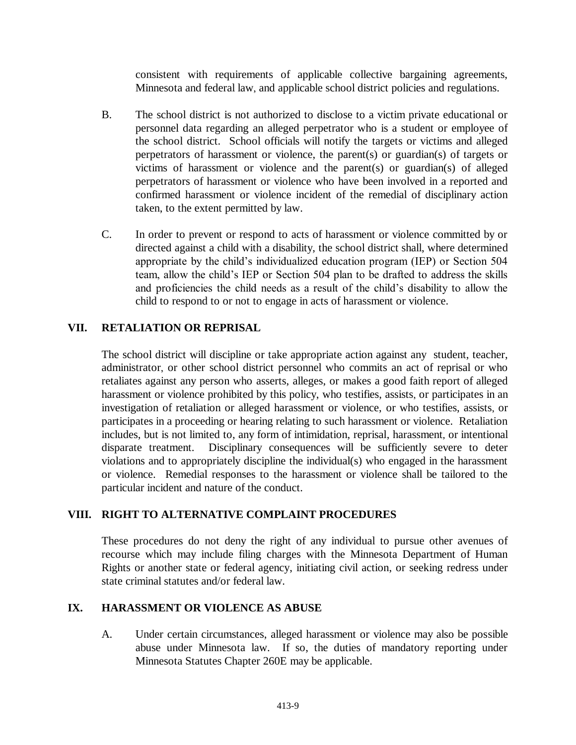consistent with requirements of applicable collective bargaining agreements, Minnesota and federal law, and applicable school district policies and regulations.

- B. The school district is not authorized to disclose to a victim private educational or personnel data regarding an alleged perpetrator who is a student or employee of the school district. School officials will notify the targets or victims and alleged perpetrators of harassment or violence, the parent(s) or guardian(s) of targets or victims of harassment or violence and the parent(s) or guardian(s) of alleged perpetrators of harassment or violence who have been involved in a reported and confirmed harassment or violence incident of the remedial of disciplinary action taken, to the extent permitted by law.
- C. In order to prevent or respond to acts of harassment or violence committed by or directed against a child with a disability, the school district shall, where determined appropriate by the child's individualized education program (IEP) or Section 504 team, allow the child's IEP or Section 504 plan to be drafted to address the skills and proficiencies the child needs as a result of the child's disability to allow the child to respond to or not to engage in acts of harassment or violence.

# **VII. RETALIATION OR REPRISAL**

The school district will discipline or take appropriate action against any student, teacher, administrator, or other school district personnel who commits an act of reprisal or who retaliates against any person who asserts, alleges, or makes a good faith report of alleged harassment or violence prohibited by this policy, who testifies, assists, or participates in an investigation of retaliation or alleged harassment or violence, or who testifies, assists, or participates in a proceeding or hearing relating to such harassment or violence. Retaliation includes, but is not limited to, any form of intimidation, reprisal, harassment, or intentional disparate treatment. Disciplinary consequences will be sufficiently severe to deter violations and to appropriately discipline the individual(s) who engaged in the harassment or violence. Remedial responses to the harassment or violence shall be tailored to the particular incident and nature of the conduct.

## **VIII. RIGHT TO ALTERNATIVE COMPLAINT PROCEDURES**

These procedures do not deny the right of any individual to pursue other avenues of recourse which may include filing charges with the Minnesota Department of Human Rights or another state or federal agency, initiating civil action, or seeking redress under state criminal statutes and/or federal law.

## **IX. HARASSMENT OR VIOLENCE AS ABUSE**

A. Under certain circumstances, alleged harassment or violence may also be possible abuse under Minnesota law. If so, the duties of mandatory reporting under Minnesota Statutes Chapter 260E may be applicable.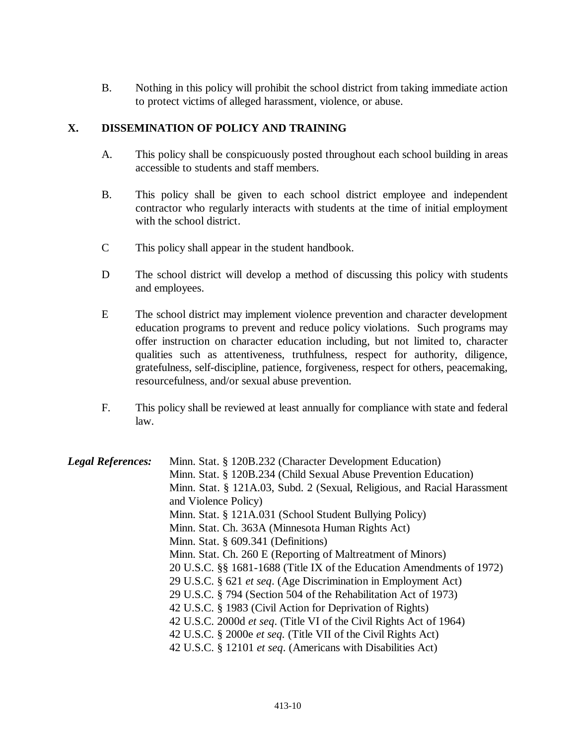B. Nothing in this policy will prohibit the school district from taking immediate action to protect victims of alleged harassment, violence, or abuse.

### **X. DISSEMINATION OF POLICY AND TRAINING**

- A. This policy shall be conspicuously posted throughout each school building in areas accessible to students and staff members.
- B. This policy shall be given to each school district employee and independent contractor who regularly interacts with students at the time of initial employment with the school district.
- C This policy shall appear in the student handbook.
- D The school district will develop a method of discussing this policy with students and employees.
- E The school district may implement violence prevention and character development education programs to prevent and reduce policy violations. Such programs may offer instruction on character education including, but not limited to, character qualities such as attentiveness, truthfulness, respect for authority, diligence, gratefulness, self-discipline, patience, forgiveness, respect for others, peacemaking, resourcefulness, and/or sexual abuse prevention.
- F. This policy shall be reviewed at least annually for compliance with state and federal law.

| <b>Legal References:</b> | Minn. Stat. § 120B.232 (Character Development Education)                  |
|--------------------------|---------------------------------------------------------------------------|
|                          | Minn. Stat. § 120B.234 (Child Sexual Abuse Prevention Education)          |
|                          | Minn. Stat. § 121A.03, Subd. 2 (Sexual, Religious, and Racial Harassment  |
|                          | and Violence Policy)                                                      |
|                          | Minn. Stat. § 121A.031 (School Student Bullying Policy)                   |
|                          | Minn. Stat. Ch. 363A (Minnesota Human Rights Act)                         |
|                          | Minn. Stat. $§$ 609.341 (Definitions)                                     |
|                          | Minn. Stat. Ch. 260 E (Reporting of Maltreatment of Minors)               |
|                          | 20 U.S.C. §§ 1681-1688 (Title IX of the Education Amendments of 1972)     |
|                          | 29 U.S.C. § 621 et seq. (Age Discrimination in Employment Act)            |
|                          | 29 U.S.C. § 794 (Section 504 of the Rehabilitation Act of 1973)           |
|                          | 42 U.S.C. § 1983 (Civil Action for Deprivation of Rights)                 |
|                          | 42 U.S.C. 2000d <i>et seq.</i> (Title VI of the Civil Rights Act of 1964) |
|                          | 42 U.S.C. § 2000e et seq. (Title VII of the Civil Rights Act)             |
|                          | 42 U.S.C. § 12101 et seq. (Americans with Disabilities Act)               |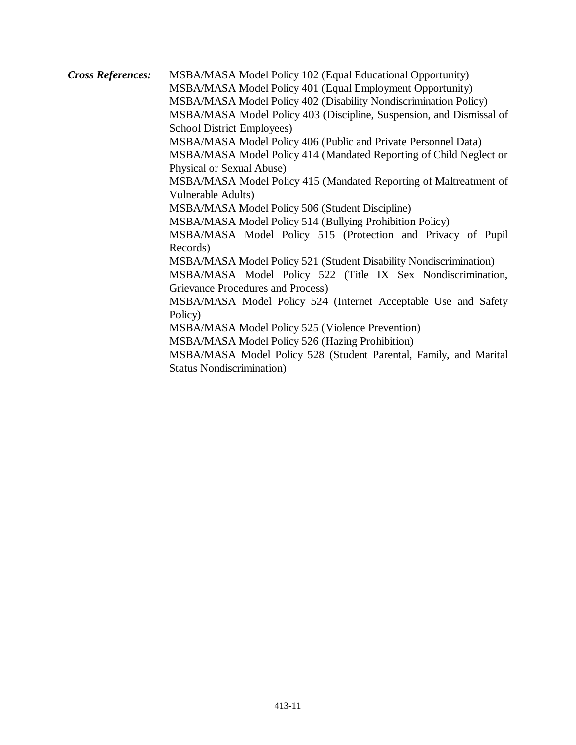*Cross References:* MSBA/MASA Model Policy 102 (Equal Educational Opportunity) MSBA/MASA Model Policy 401 (Equal Employment Opportunity) MSBA/MASA Model Policy 402 (Disability Nondiscrimination Policy) MSBA/MASA Model Policy 403 (Discipline, Suspension, and Dismissal of School District Employees) MSBA/MASA Model Policy 406 (Public and Private Personnel Data) MSBA/MASA Model Policy 414 (Mandated Reporting of Child Neglect or Physical or Sexual Abuse) MSBA/MASA Model Policy 415 (Mandated Reporting of Maltreatment of Vulnerable Adults) MSBA/MASA Model Policy 506 (Student Discipline) MSBA/MASA Model Policy 514 (Bullying Prohibition Policy) MSBA/MASA Model Policy 515 (Protection and Privacy of Pupil Records) MSBA/MASA Model Policy 521 (Student Disability Nondiscrimination) MSBA/MASA Model Policy 522 (Title IX Sex Nondiscrimination, Grievance Procedures and Process) MSBA/MASA Model Policy 524 (Internet Acceptable Use and Safety Policy) MSBA/MASA Model Policy 525 (Violence Prevention) MSBA/MASA Model Policy 526 (Hazing Prohibition) MSBA/MASA Model Policy 528 (Student Parental, Family, and Marital Status Nondiscrimination)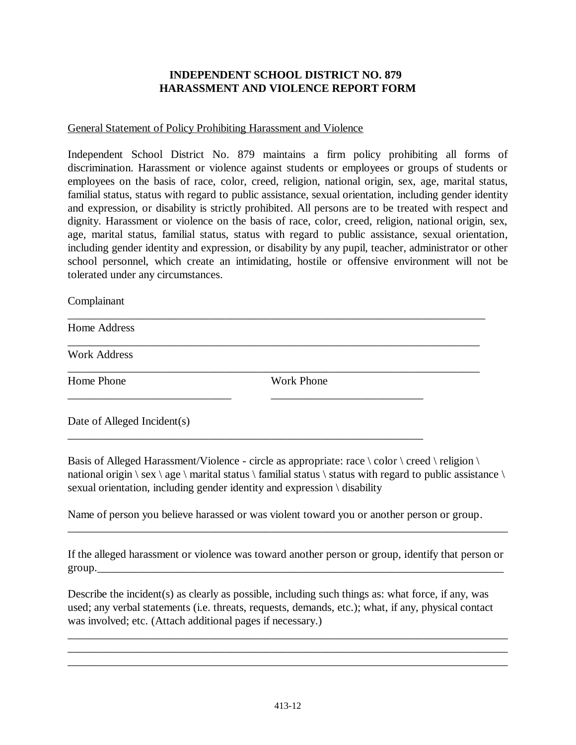## **INDEPENDENT SCHOOL DISTRICT NO. 879 HARASSMENT AND VIOLENCE REPORT FORM**

### General Statement of Policy Prohibiting Harassment and Violence

Independent School District No. 879 maintains a firm policy prohibiting all forms of discrimination. Harassment or violence against students or employees or groups of students or employees on the basis of race, color, creed, religion, national origin, sex, age, marital status, familial status, status with regard to public assistance, sexual orientation, including gender identity and expression, or disability is strictly prohibited. All persons are to be treated with respect and dignity. Harassment or violence on the basis of race, color, creed, religion, national origin, sex, age, marital status, familial status, status with regard to public assistance, sexual orientation, including gender identity and expression, or disability by any pupil, teacher, administrator or other school personnel, which create an intimidating, hostile or offensive environment will not be tolerated under any circumstances.

\_\_\_\_\_\_\_\_\_\_\_\_\_\_\_\_\_\_\_\_\_\_\_\_\_\_\_\_\_\_\_\_\_\_\_\_\_\_\_\_\_\_\_\_\_\_\_\_\_\_\_\_\_\_\_\_\_\_\_\_\_\_\_\_\_\_\_\_\_\_\_\_\_\_

\_\_\_\_\_\_\_\_\_\_\_\_\_\_\_\_\_\_\_\_\_\_\_\_\_\_\_\_\_\_\_\_\_\_\_\_\_\_\_\_\_\_\_\_\_\_\_\_\_\_\_\_\_\_\_\_\_\_\_\_\_\_\_\_\_\_\_\_\_\_\_\_\_

\_\_\_\_\_\_\_\_\_\_\_\_\_\_\_\_\_\_\_\_\_\_\_\_\_\_\_\_\_\_\_\_\_\_\_\_\_\_\_\_\_\_\_\_\_\_\_\_\_\_\_\_\_\_\_\_\_\_\_\_\_\_\_\_\_\_\_\_\_\_\_\_\_

\_\_\_\_\_\_\_\_\_\_\_\_\_\_\_\_\_\_\_\_\_\_\_\_\_\_\_\_\_ \_\_\_\_\_\_\_\_\_\_\_\_\_\_\_\_\_\_\_\_\_\_\_\_\_\_\_

\_\_\_\_\_\_\_\_\_\_\_\_\_\_\_\_\_\_\_\_\_\_\_\_\_\_\_\_\_\_\_\_\_\_\_\_\_\_\_\_\_\_\_\_\_\_\_\_\_\_\_\_\_\_\_\_\_\_\_\_\_\_\_

#### Complainant

Home Address

Work Address

Home Phone Work Phone

Date of Alleged Incident(s)

Basis of Alleged Harassment/Violence - circle as appropriate: race  $\cdot$  color  $\cdot$  creed  $\cdot$  religion  $\cdot$ national origin  $\$ sex  $\$ age  $\$  marital status  $\$  familial status  $\$  status with regard to public assistance  $\$ sexual orientation, including gender identity and expression \ disability

Name of person you believe harassed or was violent toward you or another person or group.

If the alleged harassment or violence was toward another person or group, identify that person or group.

\_\_\_\_\_\_\_\_\_\_\_\_\_\_\_\_\_\_\_\_\_\_\_\_\_\_\_\_\_\_\_\_\_\_\_\_\_\_\_\_\_\_\_\_\_\_\_\_\_\_\_\_\_\_\_\_\_\_\_\_\_\_\_\_\_\_\_\_\_\_\_\_\_\_\_\_\_\_

Describe the incident(s) as clearly as possible, including such things as: what force, if any, was used; any verbal statements (i.e. threats, requests, demands, etc.); what, if any, physical contact was involved; etc. (Attach additional pages if necessary.)

\_\_\_\_\_\_\_\_\_\_\_\_\_\_\_\_\_\_\_\_\_\_\_\_\_\_\_\_\_\_\_\_\_\_\_\_\_\_\_\_\_\_\_\_\_\_\_\_\_\_\_\_\_\_\_\_\_\_\_\_\_\_\_\_\_\_\_\_\_\_\_\_\_\_\_\_\_\_ \_\_\_\_\_\_\_\_\_\_\_\_\_\_\_\_\_\_\_\_\_\_\_\_\_\_\_\_\_\_\_\_\_\_\_\_\_\_\_\_\_\_\_\_\_\_\_\_\_\_\_\_\_\_\_\_\_\_\_\_\_\_\_\_\_\_\_\_\_\_\_\_\_\_\_\_\_\_ \_\_\_\_\_\_\_\_\_\_\_\_\_\_\_\_\_\_\_\_\_\_\_\_\_\_\_\_\_\_\_\_\_\_\_\_\_\_\_\_\_\_\_\_\_\_\_\_\_\_\_\_\_\_\_\_\_\_\_\_\_\_\_\_\_\_\_\_\_\_\_\_\_\_\_\_\_\_